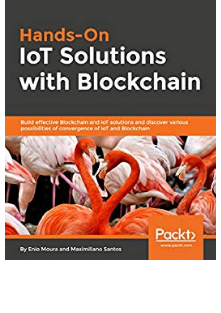## **Hands-On IoT Solutions** with Blockchain

Build effective Blockchain and lot solutions and discover various possibilities of convergence of loT and Blockchain.

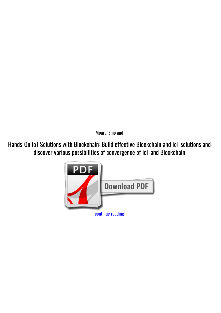*Moura, Enio and*

**Hands-On IoT Solutions with Blockchain: Build effective Blockchain and IoT solutions and discover various possibilities of convergence of IoT and Blockchain**

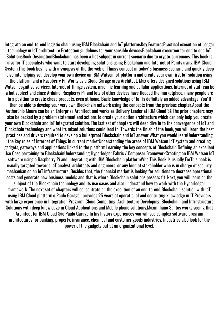Integrate an end-to-end logistic chain using IBM Blockchain and IoT platformsKey FeaturesPractical execution of Ledger technology in IoT architecture.Protection guidelines for your sensible devicesBlockchain execution for end to end IoT SolutionsBook DescriptionBlockchain has been a hot subject in current scenario due to crypto-currencies. This book is also for IT specialists who want to start developing solutions using Blockchain and Internet of Points using IBM Cloud System.This book begins with a synopsis of the the web of Things concept in today's business scenario and quickly deep dive into helping you develop your own device on IBM Watson IoT platform and create your own first IoT solution using the platform and a Raspberry Pi. Works as a Cloud Garage area Architect, Max offers designed solutions using IBM Watson cognitive services, Internet of Things system, machine learning and cellular applications. Internet of stuff can be a hot subject and since Arduino, Raspberry Pi, and lots of other devices have flooded the marketplace, many people are in a position to create cheap products, even at home. Basic knowledge of IoT is definitely an added advantage. You'll then be able to develop your very own Blockchain network using the concepts from the previous chapter.About the AuthorEnio Moura can be an Enterprise Architect and works as Delivery Leader at IBM Cloud Sã The prior chapters may also be backed by a problem statement and actions to create your option architecture which can only help you create your own Blockchain and IoT integrated solution. The last set of chapters will deep dive in to the convergence of IoT and Blockchain technology and what its mixed solutions could lead to. Towards the finish of the book, you will learn the best practices and drivers required to develop a bulletproof Blockchain and IoT answer.What you would learnUnderstanding the key roles of Internet of Things in current marketUnderstanding the areas of IBM Watson IoT system and creating gadgets, gateways and applications linked to the platform.Learning the key concepts of Blockchain Defining an excellent Use Case pertaining to BlockchainUnderstanding Hyperledger Fabric / Composer FrameworkCreating an IBM Watson IoT software using a Raspberry Pi and integrating with IBM Blockchain platformWho This Book Is usually ForThis book is usually targeted towards IoT analyst, architects and engineers, or any kind of stakeholder who is in charge of security mechanism on an IoT infrastructure. Besides that, the financial market is looking for solutions to decrease operational costs and generate new business models and that is where Blockchain solutions possess fit. Next, you will learn on the subject of the Blockchain technology and its use cases and also understand how to work with the Hyperledger framework. The next set of chapters will concentrate on the execution of an end-to-end Blockchain solution with IoT using IBM Cloud platform.o Paulo Garage , provides 25 years of operational and consulting knowledge in IT Providers with large experience in Integration Program, Cloud Computing, Architecture Developing, Blockchain and Infrastructure Solutions with deep knowledge in Cloud Applications and Mobile phone solutions.Maximiliano Santos works seeing that Architect for IBM Cloud São Paulo Garage In his history experiences you will see complex software program architectures for banking, property, insurance, chemical and customer goods industries. Industries also look for the power of the gadgets but at an organizational level.